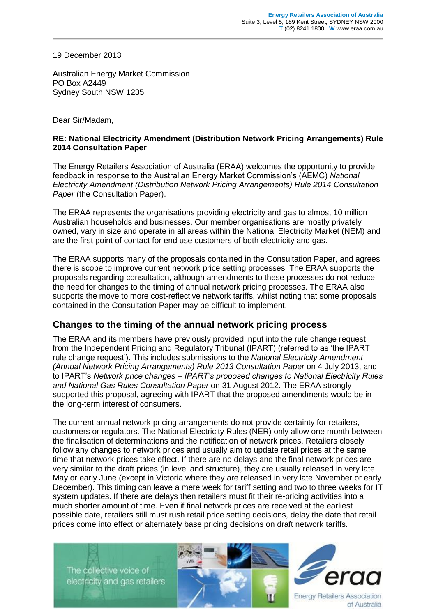19 December 2013

Australian Energy Market Commission PO Box A2449 Sydney South NSW 1235

Dear Sir/Madam,

#### **RE: National Electricity Amendment (Distribution Network Pricing Arrangements) Rule 2014 Consultation Paper**

The Energy Retailers Association of Australia (ERAA) welcomes the opportunity to provide feedback in response to the Australian Energy Market Commission's (AEMC) *National Electricity Amendment (Distribution Network Pricing Arrangements) Rule 2014 Consultation Paper* (the Consultation Paper).

The ERAA represents the organisations providing electricity and gas to almost 10 million Australian households and businesses. Our member organisations are mostly privately owned, vary in size and operate in all areas within the National Electricity Market (NEM) and are the first point of contact for end use customers of both electricity and gas.

The ERAA supports many of the proposals contained in the Consultation Paper, and agrees there is scope to improve current network price setting processes. The ERAA supports the proposals regarding consultation, although amendments to these processes do not reduce the need for changes to the timing of annual network pricing processes. The ERAA also supports the move to more cost-reflective network tariffs, whilst noting that some proposals contained in the Consultation Paper may be difficult to implement.

## **Changes to the timing of the annual network pricing process**

The ERAA and its members have previously provided input into the rule change request from the Independent Pricing and Regulatory Tribunal (IPART) (referred to as 'the IPART rule change request'). This includes submissions to the *National Electricity Amendment (Annual Network Pricing Arrangements) Rule 2013 Consultation Paper* on 4 July 2013, and to IPART's *Network price changes – IPART's proposed changes to National Electricity Rules and National Gas Rules Consultation Paper* on 31 August 2012. The ERAA strongly supported this proposal, agreeing with IPART that the proposed amendments would be in the long-term interest of consumers.

The current annual network pricing arrangements do not provide certainty for retailers, customers or regulators. The National Electricity Rules (NER) only allow one month between the finalisation of determinations and the notification of network prices. Retailers closely follow any changes to network prices and usually aim to update retail prices at the same time that network prices take effect. If there are no delays and the final network prices are very similar to the draft prices (in level and structure), they are usually released in very late May or early June (except in Victoria where they are released in very late November or early December). This timing can leave a mere week for tariff setting and two to three weeks for IT system updates. If there are delays then retailers must fit their re-pricing activities into a much shorter amount of time. Even if final network prices are received at the earliest possible date, retailers still must rush retail price setting decisions, delay the date that retail prices come into effect or alternately base pricing decisions on draft network tariffs.

The collective voice of electricity and gas retailers



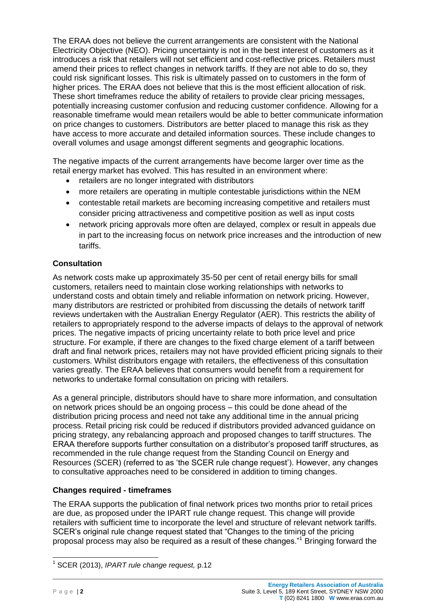The ERAA does not believe the current arrangements are consistent with the National Electricity Objective (NEO). Pricing uncertainty is not in the best interest of customers as it introduces a risk that retailers will not set efficient and cost-reflective prices. Retailers must amend their prices to reflect changes in network tariffs. If they are not able to do so, they could risk significant losses. This risk is ultimately passed on to customers in the form of higher prices. The ERAA does not believe that this is the most efficient allocation of risk. These short timeframes reduce the ability of retailers to provide clear pricing messages, potentially increasing customer confusion and reducing customer confidence. Allowing for a reasonable timeframe would mean retailers would be able to better communicate information on price changes to customers. Distributors are better placed to manage this risk as they have access to more accurate and detailed information sources. These include changes to overall volumes and usage amongst different segments and geographic locations.

The negative impacts of the current arrangements have become larger over time as the retail energy market has evolved. This has resulted in an environment where:

- retailers are no longer integrated with distributors
- more retailers are operating in multiple contestable jurisdictions within the NEM
- contestable retail markets are becoming increasing competitive and retailers must consider pricing attractiveness and competitive position as well as input costs
- network pricing approvals more often are delayed, complex or result in appeals due in part to the increasing focus on network price increases and the introduction of new tariffs.

### **Consultation**

As network costs make up approximately 35-50 per cent of retail energy bills for small customers, retailers need to maintain close working relationships with networks to understand costs and obtain timely and reliable information on network pricing. However, many distributors are restricted or prohibited from discussing the details of network tariff reviews undertaken with the Australian Energy Regulator (AER). This restricts the ability of retailers to appropriately respond to the adverse impacts of delays to the approval of network prices. The negative impacts of pricing uncertainty relate to both price level and price structure. For example, if there are changes to the fixed charge element of a tariff between draft and final network prices, retailers may not have provided efficient pricing signals to their customers. Whilst distributors engage with retailers, the effectiveness of this consultation varies greatly. The ERAA believes that consumers would benefit from a requirement for networks to undertake formal consultation on pricing with retailers.

As a general principle, distributors should have to share more information, and consultation on network prices should be an ongoing process – this could be done ahead of the distribution pricing process and need not take any additional time in the annual pricing process. Retail pricing risk could be reduced if distributors provided advanced guidance on pricing strategy, any rebalancing approach and proposed changes to tariff structures. The ERAA therefore supports further consultation on a distributor's proposed tariff structures, as recommended in the rule change request from the Standing Council on Energy and Resources (SCER) (referred to as 'the SCER rule change request'). However, any changes to consultative approaches need to be considered in addition to timing changes.

#### **Changes required - timeframes**

The ERAA supports the publication of final network prices two months prior to retail prices are due, as proposed under the IPART rule change request. This change will provide retailers with sufficient time to incorporate the level and structure of relevant network tariffs. SCER's original rule change request stated that "Changes to the timing of the pricing proposal process may also be required as a result of these changes."<sup>1</sup> Bringing forward the

 $\overline{1}$ 1 SCER (2013), *IPART rule change request,* p.12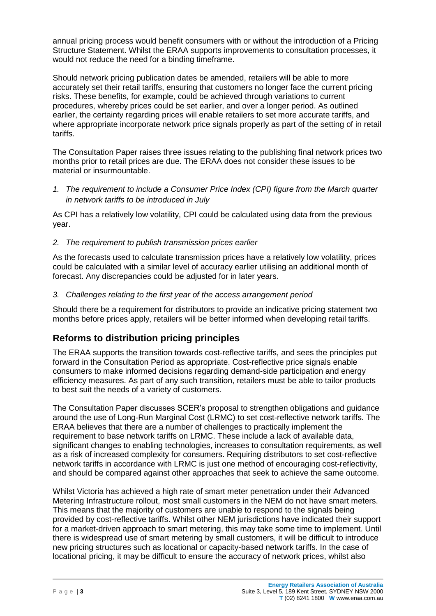annual pricing process would benefit consumers with or without the introduction of a Pricing Structure Statement. Whilst the ERAA supports improvements to consultation processes, it would not reduce the need for a binding timeframe.

Should network pricing publication dates be amended, retailers will be able to more accurately set their retail tariffs, ensuring that customers no longer face the current pricing risks. These benefits, for example, could be achieved through variations to current procedures, whereby prices could be set earlier, and over a longer period. As outlined earlier, the certainty regarding prices will enable retailers to set more accurate tariffs, and where appropriate incorporate network price signals properly as part of the setting of in retail tariffs.

The Consultation Paper raises three issues relating to the publishing final network prices two months prior to retail prices are due. The ERAA does not consider these issues to be material or insurmountable.

*1. The requirement to include a Consumer Price Index (CPI) figure from the March quarter in network tariffs to be introduced in July*

As CPI has a relatively low volatility, CPI could be calculated using data from the previous year.

*2. The requirement to publish transmission prices earlier*

As the forecasts used to calculate transmission prices have a relatively low volatility, prices could be calculated with a similar level of accuracy earlier utilising an additional month of forecast. Any discrepancies could be adjusted for in later years.

*3. Challenges relating to the first year of the access arrangement period*

Should there be a requirement for distributors to provide an indicative pricing statement two months before prices apply, retailers will be better informed when developing retail tariffs.

# **Reforms to distribution pricing principles**

The ERAA supports the transition towards cost-reflective tariffs, and sees the principles put forward in the Consultation Period as appropriate. Cost-reflective price signals enable consumers to make informed decisions regarding demand-side participation and energy efficiency measures. As part of any such transition, retailers must be able to tailor products to best suit the needs of a variety of customers.

The Consultation Paper discusses SCER's proposal to strengthen obligations and guidance around the use of Long-Run Marginal Cost (LRMC) to set cost-reflective network tariffs. The ERAA believes that there are a number of challenges to practically implement the requirement to base network tariffs on LRMC. These include a lack of available data, significant changes to enabling technologies, increases to consultation requirements, as well as a risk of increased complexity for consumers. Requiring distributors to set cost-reflective network tariffs in accordance with LRMC is just one method of encouraging cost-reflectivity, and should be compared against other approaches that seek to achieve the same outcome.

Whilst Victoria has achieved a high rate of smart meter penetration under their Advanced Metering Infrastructure rollout, most small customers in the NEM do not have smart meters. This means that the majority of customers are unable to respond to the signals being provided by cost-reflective tariffs. Whilst other NEM jurisdictions have indicated their support for a market-driven approach to smart metering, this may take some time to implement. Until there is widespread use of smart metering by small customers, it will be difficult to introduce new pricing structures such as locational or capacity-based network tariffs. In the case of locational pricing, it may be difficult to ensure the accuracy of network prices, whilst also